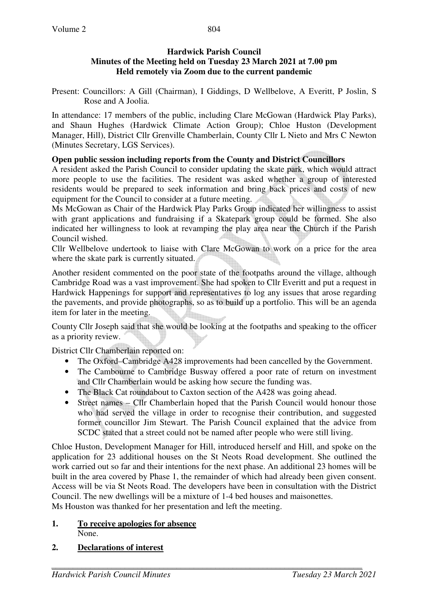## **Hardwick Parish Council Minutes of the Meeting held on Tuesday 23 March 2021 at 7.00 pm Held remotely via Zoom due to the current pandemic**

Present: Councillors: A Gill (Chairman), I Giddings, D Wellbelove, A Everitt, P Joslin, S Rose and A Joolia.

In attendance: 17 members of the public, including Clare McGowan (Hardwick Play Parks), and Shaun Hughes (Hardwick Climate Action Group); Chloe Huston (Development Manager, Hill), District Cllr Grenville Chamberlain, County Cllr L Nieto and Mrs C Newton (Minutes Secretary, LGS Services).

# **Open public session including reports from the County and District Councillors**

A resident asked the Parish Council to consider updating the skate park, which would attract more people to use the facilities. The resident was asked whether a group of interested residents would be prepared to seek information and bring back prices and costs of new equipment for the Council to consider at a future meeting.

Ms McGowan as Chair of the Hardwick Play Parks Group indicated her willingness to assist with grant applications and fundraising if a Skatepark group could be formed. She also indicated her willingness to look at revamping the play area near the Church if the Parish Council wished.

Cllr Wellbelove undertook to liaise with Clare McGowan to work on a price for the area where the skate park is currently situated.

Another resident commented on the poor state of the footpaths around the village, although Cambridge Road was a vast improvement. She had spoken to Cllr Everitt and put a request in Hardwick Happenings for support and representatives to log any issues that arose regarding the pavements, and provide photographs, so as to build up a portfolio. This will be an agenda item for later in the meeting.

County Cllr Joseph said that she would be looking at the footpaths and speaking to the officer as a priority review.

District Cllr Chamberlain reported on:

- The Oxford–Cambridge A428 improvements had been cancelled by the Government.
- The Cambourne to Cambridge Busway offered a poor rate of return on investment and Cllr Chamberlain would be asking how secure the funding was.
- The Black Cat roundabout to Caxton section of the A428 was going ahead.
- Street names Cllr Chamberlain hoped that the Parish Council would honour those who had served the village in order to recognise their contribution, and suggested former councillor Jim Stewart. The Parish Council explained that the advice from SCDC stated that a street could not be named after people who were still living.

Chloe Huston, Development Manager for Hill, introduced herself and Hill, and spoke on the application for 23 additional houses on the St Neots Road development. She outlined the work carried out so far and their intentions for the next phase. An additional 23 homes will be built in the area covered by Phase 1, the remainder of which had already been given consent. Access will be via St Neots Road. The developers have been in consultation with the District Council. The new dwellings will be a mixture of 1-4 bed houses and maisonettes. Ms Houston was thanked for her presentation and left the meeting.

**1. To receive apologies for absence** None.

# **2. Declarations of interest**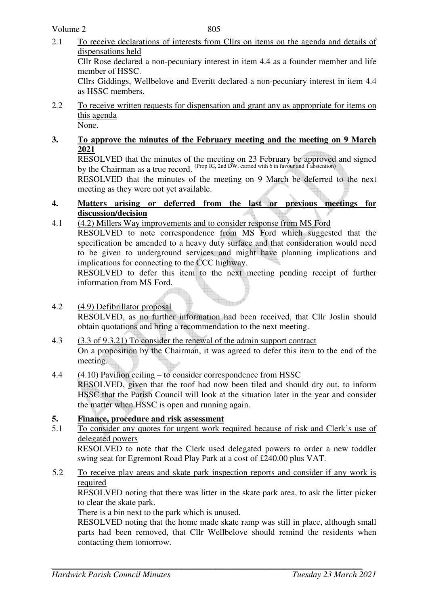- 2.1 To receive declarations of interests from Cllrs on items on the agenda and details of dispensations held Cllr Rose declared a non-pecuniary interest in item 4.4 as a founder member and life member of HSSC. Cllrs Giddings, Wellbelove and Everitt declared a non-pecuniary interest in item 4.4 as HSSC members.
- 2.2 To receive written requests for dispensation and grant any as appropriate for items on this agenda None.
- **3. To approve the minutes of the February meeting and the meeting on 9 March 2021**

RESOLVED that the minutes of the meeting on 23 February be approved and signed by the Chairman as a true record. (Prop IG, 2nd DW, carried with 6 in favour and 1 abstention)

RESOLVED that the minutes of the meeting on 9 March be deferred to the next meeting as they were not yet available.

- **4. Matters arising or deferred from the last or previous meetings for discussion/decision**
- 4.1 (4.2) Millers Way improvements and to consider response from MS Ford RESOLVED to note correspondence from MS Ford which suggested that the specification be amended to a heavy duty surface and that consideration would need to be given to underground services and might have planning implications and implications for connecting to the CCC highway. RESOLVED to defer this item to the next meeting pending receipt of further

information from MS Ford.

- 4.2 (4.9) Defibrillator proposal RESOLVED, as no further information had been received, that Cllr Joslin should obtain quotations and bring a recommendation to the next meeting.
- 4.3 (3.3 of 9.3.21) To consider the renewal of the admin support contract On a proposition by the Chairman, it was agreed to defer this item to the end of the meeting.
- 4.4 (4.10) Pavilion ceiling to consider correspondence from HSSC RESOLVED, given that the roof had now been tiled and should dry out, to inform HSSC that the Parish Council will look at the situation later in the year and consider the matter when HSSC is open and running again.

## **5. Finance, procedure and risk assessment**

5.1 To consider any quotes for urgent work required because of risk and Clerk's use of delegated powers

RESOLVED to note that the Clerk used delegated powers to order a new toddler swing seat for Egremont Road Play Park at a cost of £240.00 plus VAT.

5.2 To receive play areas and skate park inspection reports and consider if any work is required

RESOLVED noting that there was litter in the skate park area, to ask the litter picker to clear the skate park.

There is a bin next to the park which is unused.

RESOLVED noting that the home made skate ramp was still in place, although small parts had been removed, that Cllr Wellbelove should remind the residents when contacting them tomorrow.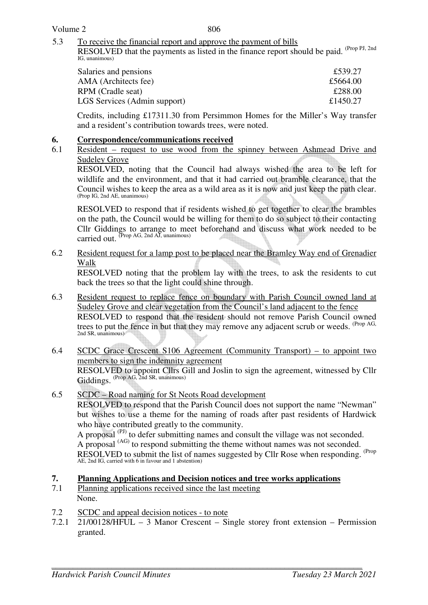806

5.3 To receive the financial report and approve the payment of bills

RESOLVED that the payments as listed in the finance report should be paid. <sup>(Prop PJ, 2nd</sup>) IG, unanimous)

| Salaries and pensions        | £539.27  |
|------------------------------|----------|
| AMA (Architects fee)         | £5664.00 |
| RPM (Cradle seat)            | £288.00  |
| LGS Services (Admin support) | £1450.27 |
|                              |          |

Credits, including £17311.30 from Persimmon Homes for the Miller's Way transfer and a resident's contribution towards trees, were noted.

#### **6. Correspondence/communications received**

6.1 Resident – request to use wood from the spinney between Ashmead Drive and Sudeley Grove

 RESOLVED, noting that the Council had always wished the area to be left for wildlife and the environment, and that it had carried out bramble clearance, that the Council wishes to keep the area as a wild area as it is now and just keep the path clear. (Prop IG, 2nd AE, unanimous)

RESOLVED to respond that if residents wished to get together to clear the brambles on the path, the Council would be willing for them to do so subject to their contacting Cllr Giddings to arrange to meet beforehand and discuss what work needed to be carried out.  $(\text{Prop }AG, 2nd \text{ AI}, \text{unanimous})$ 

6.2 Resident request for a lamp post to be placed near the Bramley Way end of Grenadier Walk

 RESOLVED noting that the problem lay with the trees, to ask the residents to cut back the trees so that the light could shine through.

- 6.3 Resident request to replace fence on boundary with Parish Council owned land at Sudeley Grove and clear vegetation from the Council's land adjacent to the fence RESOLVED to respond that the resident should not remove Parish Council owned trees to put the fence in but that they may remove any adjacent scrub or weeds. <sup>(Prop AG,</sup> 2nd SR, unanimous)
- 6.4 SCDC Grace Crescent S106 Agreement (Community Transport) to appoint two members to sign the indemnity agreement RESOLVED to appoint Cllrs Gill and Joslin to sign the agreement, witnessed by Cllr Giddings. (Prop AG, 2nd SR, unanimous)
- 6.5 SCDC Road naming for St Neots Road development

 RESOLVED to respond that the Parish Council does not support the name "Newman" but wishes to use a theme for the naming of roads after past residents of Hardwick who have contributed greatly to the community.

 A proposal (PJ) to defer submitting names and consult the village was not seconded. A proposal (AG) to respond submitting the theme without names was not seconded. RESOLVED to submit the list of names suggested by Cllr Rose when responding. <sup>(Prop</sup>) AE, 2nd IG, carried with 6 in favour and 1 abstention)

# **7. Planning Applications and Decision notices and tree works applications**<br> **7.1** Planning applications received since the last meeting

- Planning applications received since the last meeting None.
- 7.2 SCDC and appeal decision notices to note
- 7.2.1 21/00128/HFUL 3 Manor Crescent Single storey front extension Permission granted.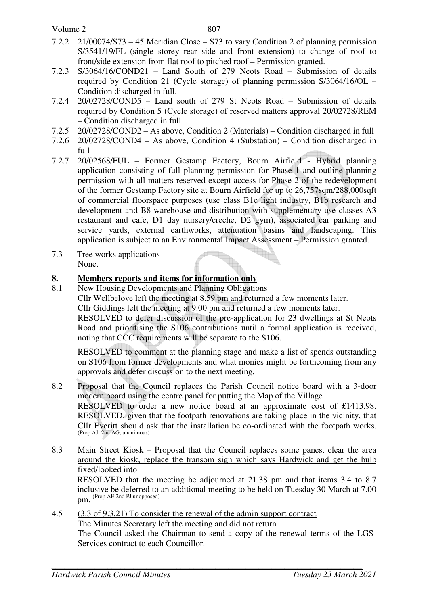Volume 2

- 7.2.2 21/00074/S73 45 Meridian Close S73 to vary Condition 2 of planning permission S/3541/19/FL (single storey rear side and front extension) to change of roof to front/side extension from flat roof to pitched roof – Permission granted.
- 7.2.3 S/3064/16/COND21 Land South of 279 Neots Road Submission of details required by Condition 21 (Cycle storage) of planning permission S/3064/16/OL – Condition discharged in full.
- 7.2.4 20/02728/COND5 Land south of 279 St Neots Road Submission of details required by Condition 5 (Cycle storage) of reserved matters approval 20/02728/REM – Condition discharged in full
- 7.2.5 20/02728/COND2 As above, Condition 2 (Materials) Condition discharged in full
- 7.2.6 20/02728/COND4 As above, Condition 4 (Substation) Condition discharged in full
- 7.2.7 20/02568/FUL Former Gestamp Factory, Bourn Airfield Hybrid planning application consisting of full planning permission for Phase 1 and outline planning permission with all matters reserved except access for Phase 2 of the redevelopment of the former Gestamp Factory site at Bourn Airfield for up to 26,757sqm/288,000sqft of commercial floorspace purposes (use class B1c light industry, B1b research and development and B8 warehouse and distribution with supplementary use classes A3 restaurant and cafe, D1 day nursery/creche, D2 gym), associated car parking and service yards, external earthworks, attenuation basins and landscaping. This application is subject to an Environmental Impact Assessment – Permission granted.
- 7.3 Tree works applications None.

## **8. Members reports and items for information only**

8.1 New Housing Developments and Planning Obligations Cllr Wellbelove left the meeting at 8.59 pm and returned a few moments later. Cllr Giddings left the meeting at 9.00 pm and returned a few moments later. RESOLVED to defer discussion of the pre-application for 23 dwellings at St Neots Road and prioritising the S106 contributions until a formal application is received, noting that CCC requirements will be separate to the S106.

RESOLVED to comment at the planning stage and make a list of spends outstanding on S106 from former developments and what monies might be forthcoming from any approvals and defer discussion to the next meeting.

- 8.2 Proposal that the Council replaces the Parish Council notice board with a 3-door modern board using the centre panel for putting the Map of the Village RESOLVED to order a new notice board at an approximate cost of £1413.98. RESOLVED, given that the footpath renovations are taking place in the vicinity, that Cllr Everitt should ask that the installation be co-ordinated with the footpath works. (Prop AJ, 2nd AG, unanimous)
- 8.3 Main Street Kiosk Proposal that the Council replaces some panes, clear the area around the kiosk, replace the transom sign which says Hardwick and get the bulb fixed/looked into

RESOLVED that the meeting be adjourned at 21.38 pm and that items 3.4 to 8.7 inclusive be deferred to an additional meeting to be held on Tuesday 30 March at 7.00 pm. (Prop AE 2nd PJ unopposed)

4.5 (3.3 of 9.3.21) To consider the renewal of the admin support contract The Minutes Secretary left the meeting and did not return The Council asked the Chairman to send a copy of the renewal terms of the LGS-Services contract to each Councillor.